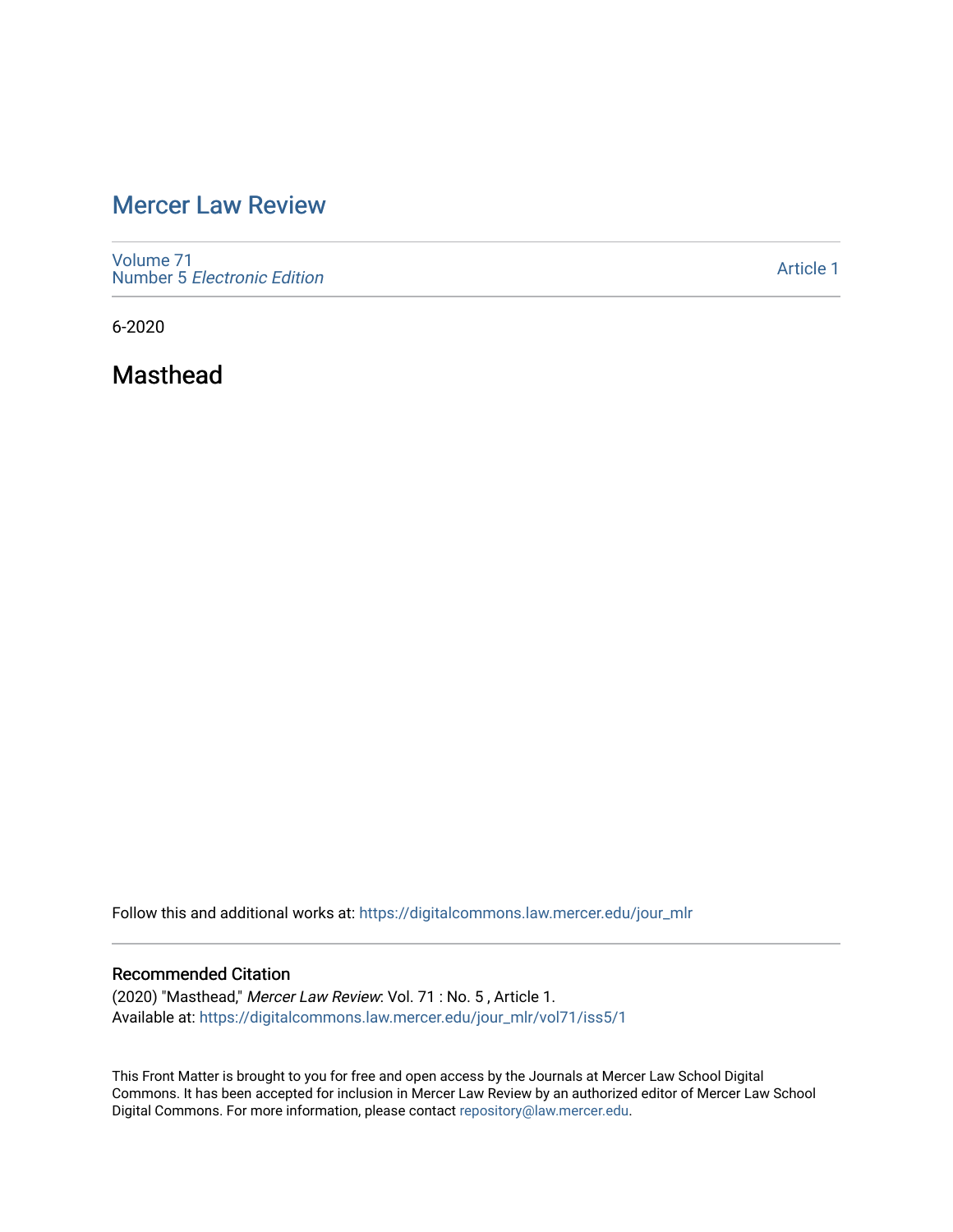# [Mercer Law Review](https://digitalcommons.law.mercer.edu/jour_mlr)

[Volume 71](https://digitalcommons.law.mercer.edu/jour_mlr/vol71) Number 5 [Electronic Edition](https://digitalcommons.law.mercer.edu/jour_mlr/vol71/iss5) 

[Article 1](https://digitalcommons.law.mercer.edu/jour_mlr/vol71/iss5/1) 

6-2020

Masthead

Follow this and additional works at: [https://digitalcommons.law.mercer.edu/jour\\_mlr](https://digitalcommons.law.mercer.edu/jour_mlr?utm_source=digitalcommons.law.mercer.edu%2Fjour_mlr%2Fvol71%2Fiss5%2F1&utm_medium=PDF&utm_campaign=PDFCoverPages)

### Recommended Citation

(2020) "Masthead," Mercer Law Review: Vol. 71 : No. 5 , Article 1. Available at: [https://digitalcommons.law.mercer.edu/jour\\_mlr/vol71/iss5/1](https://digitalcommons.law.mercer.edu/jour_mlr/vol71/iss5/1?utm_source=digitalcommons.law.mercer.edu%2Fjour_mlr%2Fvol71%2Fiss5%2F1&utm_medium=PDF&utm_campaign=PDFCoverPages)

This Front Matter is brought to you for free and open access by the Journals at Mercer Law School Digital Commons. It has been accepted for inclusion in Mercer Law Review by an authorized editor of Mercer Law School Digital Commons. For more information, please contact [repository@law.mercer.edu](mailto:repository@law.mercer.edu).